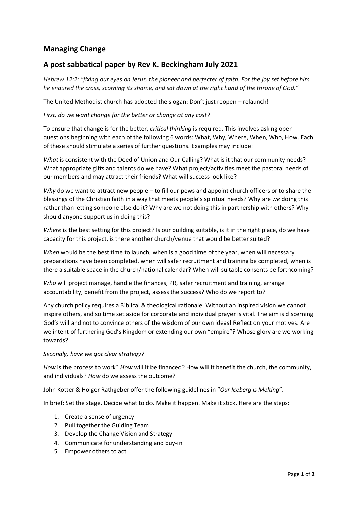# **Managing Change**

## **A post sabbatical paper by Rev K. Beckingham July 2021**

Hebrew 12:2: "fixing our eyes on Jesus, the pioneer and perfecter of faith. For the joy set before him he endured the cross, scorning its shame, and sat down at the right hand of the throne of God."

The United Methodist church has adopted the slogan: Don't just reopen – relaunch!

#### *First, do we want change for the better or change at any cost?*

To ensure that change is for the better, *critical thinking* is required. This involves asking open questions beginning with each of the following 6 words: What, Why, Where, When, Who, How. Each of these should stimulate a series of further questions. Examples may include:

*What* is consistent with the Deed of Union and Our Calling? What is it that our community needs? What appropriate gifts and talents do we have? What project/activities meet the pastoral needs of our members and may attract their friends? What will success look like?

*Why* do we want to attract new people – to fill our pews and appoint church officers or to share the blessings of the Christian faith in a way that meets people's spiritual needs? Why are *we* doing this rather than letting someone else do it? Why are we not doing this in partnership with others? Why should anyone support us in doing this?

*Where* is the best setting for this project? Is our building suitable, is it in the right place, do we have capacity for this project, is there another church/venue that would be better suited?

*When* would be the best time to launch, when is a good time of the year, when will necessary preparations have been completed, when will safer recruitment and training be completed, when is there a suitable space in the church/national calendar? When will suitable consents be forthcoming?

*Who* will project manage, handle the finances, PR, safer recruitment and training, arrange accountability, benefit from the project, assess the success? Who do we report to?

Any church policy requires a Biblical & theological rationale. Without an inspired vision we cannot inspire others, and so time set aside for corporate and individual prayer is vital. The aim is discerning God's will and not to convince others of the wisdom of our own ideas! Reflect on your motives. Are we intent of furthering God's Kingdom or extending our own "empire"? Whose glory are we working towards?

#### *Secondly, have we got clear strategy?*

*How* is the process to work? *How* will it be financed? How will it benefit the church, the community, and individuals? *How* do we assess the outcome?

John Kotter & Holger Rathgeber offer the following guidelines in "*Our Iceberg is Melting*".

In brief: Set the stage. Decide what to do. Make it happen. Make it stick. Here are the steps:

- 1. Create a sense of urgency
- 2. Pull together the Guiding Team
- 3. Develop the Change Vision and Strategy
- 4. Communicate for understanding and buy-in
- 5. Empower others to act